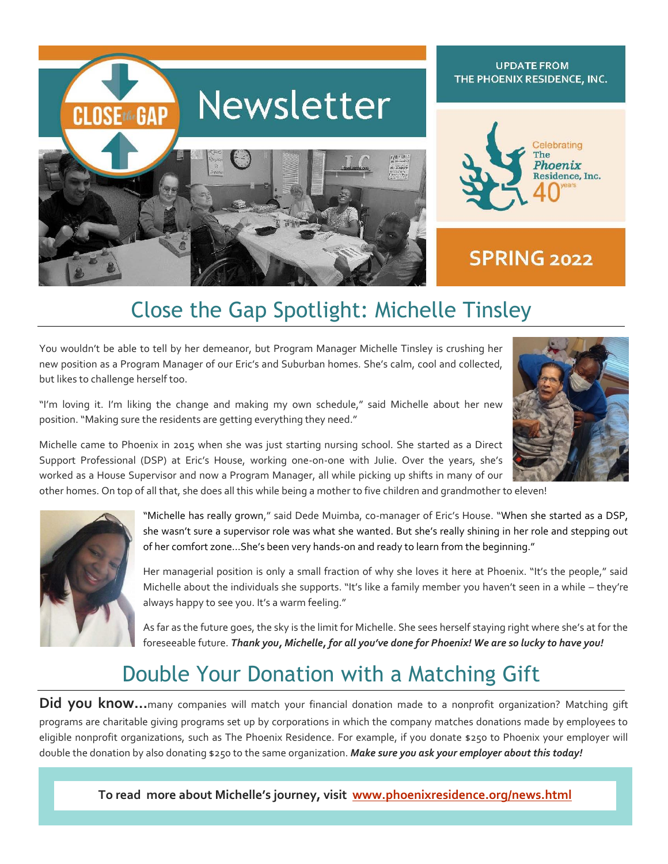

#### **UPDATE FROM** THE PHOENIX RESIDENCE, INC.



#### **SPRING 2022**

## Close the Gap Spotlight: Michelle Tinsley

You wouldn't be able to tell by her demeanor, but Program Manager Michelle Tinsley is crushing her new position as a Program Manager of our Eric's and Suburban homes. She's calm, cool and collected, but likes to challenge herself too.

"I'm loving it. I'm liking the change and making my own schedule," said Michelle about her new position. "Making sure the residents are getting everything they need."



Michelle came to Phoenix in 2015 when she was just starting nursing school. She started as a Direct Support Professional (DSP) at Eric's House, working one-on-one with Julie. Over the years, she's worked as a House Supervisor and now a Program Manager, all while picking up shifts in many of our

other homes. On top of all that, she does all this while being a mother to five children and grandmother to eleven!



"Michelle has really grown," said Dede Muimba, co-manager of Eric's House. "When she started as a DSP, she wasn't sure a supervisor role was what she wanted. But she's really shining in her role and stepping out of her comfort zone...She's been very hands-on and ready to learn from the beginning."

Her managerial position is only a small fraction of why she loves it here at Phoenix. "It's the people," said Michelle about the individuals she supports. "It's like a family member you haven't seen in a while – they're always happy to see you. It's a warm feeling."

As far as the future goes, the sky is the limit for Michelle. She sees herself staying right where she's at for the foreseeable future. *Thank you, Michelle, for all you've done for Phoenix! We are so lucky to have you!*

### Double Your Donation with a Matching Gift

Did you know...many companies will match your financial donation made to a nonprofit organization? Matching gift programs are charitable giving programs set up by corporations in which the company matches donations made by employees to eligible nonprofit organizations, such as The Phoenix Residence. For example, if you donate \$250 to Phoenix your employer will double the donation by also donating \$250 to the same organization. *Make sure you ask your employer about this today!*

**UPDATE FROM THE PHOENIX RESIDENCE, INC. To read more about Michelle's journey, visit [www.phoenixresidence.org/news.html](http://www.phoenixresidence.org/news.html)**